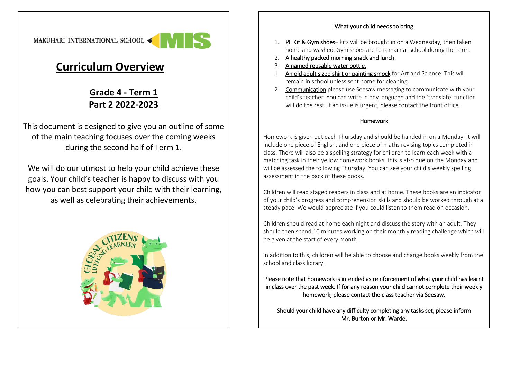

## **Curriculum Overview**

## **Grade 4 - Term 1 Part 2 2022-2023**

This document is designed to give you an outline of some of the main teaching focuses over the coming weeks during the second half of Term 1.

We will do our utmost to help your child achieve these goals. Your child's teacher is happy to discuss with you how you can best support your child with their learning, as well as celebrating their achievements.



## What your child needs to bring

- 1. PE Kit & Gym shoes– kits will be brought in on a Wednesday, then taken home and washed. Gym shoes are to remain at school during the term.
- 2. A healthy packed morning snack and lunch.
- 3. A named reusable water bottle.
- 1. An old adult sized shirt or painting smock for Art and Science. This will remain in school unless sent home for cleaning.
- 2. Communication please use Seesaw messaging to communicate with your child's teacher. You can write in any language and the 'translate' function will do the rest. If an issue is urgent, please contact the front office.

## Homework

Homework is given out each Thursday and should be handed in on a Monday. It will include one piece of English, and one piece of maths revising topics completed in class. There will also be a spelling strategy for children to learn each week with a matching task in their yellow homework books, this is also due on the Monday and will be assessed the following Thursday. You can see your child's weekly spelling assessment in the back of these books.

Children will read staged readers in class and at home. These books are an indicator of your child's progress and comprehension skills and should be worked through at a steady pace. We would appreciate if you could listen to them read on occasion.

Children should read at home each night and discuss the story with an adult. They should then spend 10 minutes working on their monthly reading challenge which will be given at the start of every month.

In addition to this, children will be able to choose and change books weekly from the school and class library.

Please note that homework is intended as reinforcement of what your child has learnt in class over the past week. If for any reason your child cannot complete their weekly homework, please contact the class teacher via Seesaw.

Should your child have any difficulty completing any tasks set, please inform Mr. Burton or Mr. Warde.

 $\overline{a}$